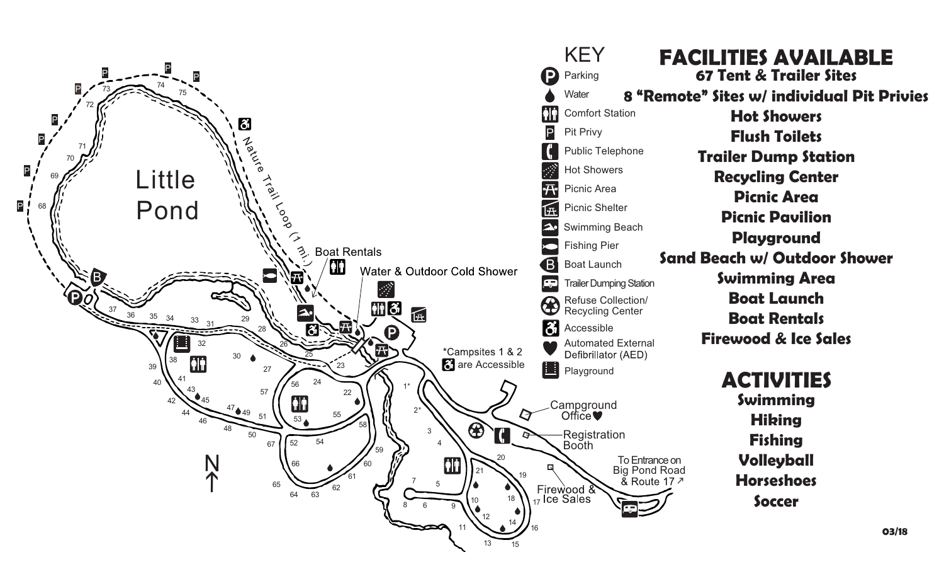